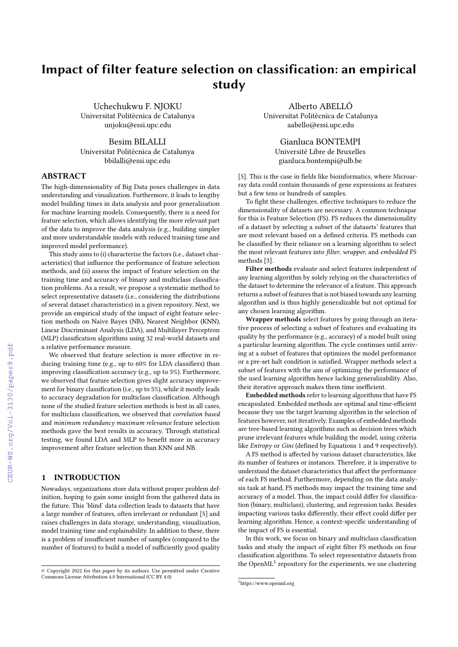# Impact of filter feature selection on classification: an empirical study

Uchechukwu F. NJOKU Universitat Politècnica de Catalunya unjoku@essi.upc.edu

Besim BILALLI Universitat Politècnica de Catalunya bbilalli@essi.upc.edu

# ABSTRACT

The high-dimensionality of Big Data poses challenges in data understanding and visualization. Furthermore, it leads to lengthy model building times in data analysis and poor generalization for machine learning models. Consequently, there is a need for feature selection, which allows identifying the more relevant part of the data to improve the data analysis (e.g., building simpler and more understandable models with reduced training time and improved model performance).

This study aims to (i) characterize the factors (i.e., dataset characteristics) that influence the performance of feature selection methods, and (ii) assess the impact of feature selection on the training time and accuracy of binary and multiclass classification problems. As a result, we propose a systematic method to select representative datasets (i.e., considering the distributions of several dataset characteristics) in a given repository. Next, we provide an empirical study of the impact of eight feature selection methods on Naive Bayes (NB), Nearest Neighbor (KNN), Linear Discriminant Analysis (LDA), and Multilayer Perceptron (MLP) classification algorithms using 32 real-world datasets and a relative performance measure.

We observed that feature selection is more effective in reducing training time (e.g., up to 60% for LDA classifiers) than improving classification accuracy (e.g., up to 5%). Furthermore, we observed that feature selection gives slight accuracy improvement for binary classification (i.e., up to 5%), while it mostly leads to accuracy degradation for multiclass classification. Although none of the studied feature selection methods is best in all cases, for multiclass classification, we observed that correlation based and minimum redundancy maximum relevance feature selection methods gave the best results in accuracy. Through statistical testing, we found LDA and MLP to benefit more in accuracy improvement after feature selection than KNN and NB.

# 1 INTRODUCTION

Nowadays, organizations store data without proper problem definition, hoping to gain some insight from the gathered data in the future. This 'blind' data collection leads to datasets that have a large number of features, often irrelevant or redundant [\[5\]](#page--1-0) and raises challenges in data storage, understanding, visualization, model training time and explainability. In addition to these, there is a problem of insufficient number of samples (compared to the number of features) to build a model of sufficiently good quality

Alberto ABELLÓ Universitat Politècnica de Catalunya aabello@essi.upc.edu

> Gianluca BONTEMPI Université Libre de Bruxelles gianluca.bontempi@ulb.be

[\[5\]](#page--1-0). This is the case in fields like bioinformatics, where Microarray data could contain thousands of gene expressions as features but a few tens or hundreds of samples.

To fight these challenges, effective techniques to reduce the dimensionality of datasets are necessary. A common technique for this is Feature Selection (FS). FS reduces the dimensionality of a dataset by selecting a subset of the datasets' features that are most relevant based on a defined criteria. FS methods can be classified by their reliance on a learning algorithm to select the most relevant features into filter, wrapper, and embedded FS methods [\[3\]](#page--1-1).

Filter methods evaluate and select features independent of any learning algorithm by solely relying on the characteristics of the dataset to determine the relevance of a feature. This approach returns a subset of features that is not biased towards any learning algorithm and is thus highly generalizable but not optimal for any chosen learning algorithm.

Wrapper methods select features by going through an iterative process of selecting a subset of features and evaluating its quality by the performance (e.g., accuracy) of a model built using a particular learning algorithm. The cycle continues until arriving at a subset of features that optimizes the model performance or a pre-set halt condition is satisfied. Wrapper methods select a subset of features with the aim of optimizing the performance of the used learning algorithm hence lacking generalizability. Also, their iterative approach makes them time inefficient.

Embedded methods refer to learning algorithms that have FS encapsulated. Embedded methods are optimal and time-efficient because they use the target learning algorithm in the selection of features however, not iteratively. Examples of embedded methods are tree-based learning algorithms such as decision trees which prune irrelevant features while building the model, using criteria like Entropy or Gini (defined by Equations [1](#page--1-2) and [9](#page--1-3) respectively).

A FS method is affected by various dataset characteristics, like its number of features or instances. Therefore, it is imperative to understand the dataset characteristics that affect the performance of each FS method. Furthermore, depending on the data analysis task at hand, FS methods may impact the training time and accuracy of a model. Thus, the impact could differ for classification (binary, multiclass), clustering, and regression tasks. Besides impacting various tasks differently, their effect could differ per learning algorithm. Hence, a context-specific understanding of the impact of FS is essential.

In this work, we focus on binary and multiclass classification tasks and study the impact of eight filter FS methods on four classification algorithms. To select representative datasets from the OpenML<sup>[1](#page-0-0)</sup> repository for the experiments, we use clustering

<sup>©</sup> Copyright 2022 for this paper by its authors. Use permitted under Creative Commons License Attribution 4.0 International (CC BY 4.0)

<span id="page-0-0"></span> $1$ https://www.openml.org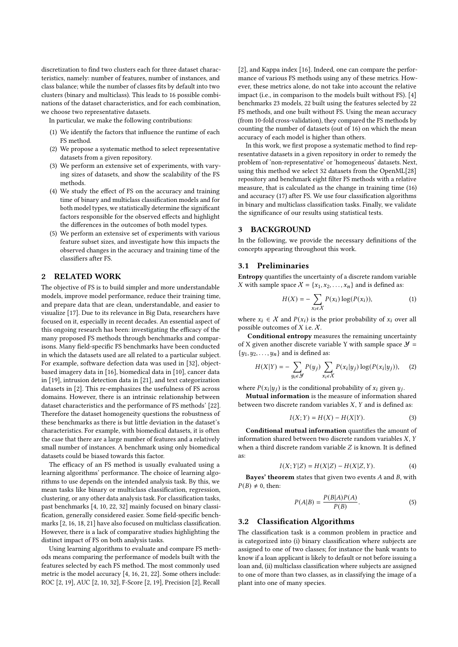discretization to find two clusters each for three dataset characteristics, namely: number of features, number of instances, and class balance; while the number of classes fits by default into two clusters (binary and multiclass). This leads to 16 possible combinations of the dataset characteristics, and for each combination, we choose two representative datasets.

In particular, we make the following contributions:

- (1) We identify the factors that influence the runtime of each FS method.
- (2) We propose a systematic method to select representative datasets from a given repository.
- (3) We perform an extensive set of experiments, with varying sizes of datasets, and show the scalability of the FS methods.
- (4) We study the effect of FS on the accuracy and training time of binary and multiclass classification models and for both model types, we statistically determine the significant factors responsible for the observed effects and highlight the differences in the outcomes of both model types.
- (5) We perform an extensive set of experiments with various feature subset sizes, and investigate how this impacts the observed changes in the accuracy and training time of the classifiers after FS.

# 2 RELATED WORK

The objective of FS is to build simpler and more understandable models, improve model performance, reduce their training time, and prepare data that are clean, understandable, and easier to visualize [\[17\]](#page-9-0). Due to its relevance in Big Data, researchers have focused on it, especially in recent decades. An essential aspect of this ongoing research has been: investigating the efficacy of the many proposed FS methods through benchmarks and comparisons. Many field-specific FS benchmarks have been conducted in which the datasets used are all related to a particular subject. For example, software defection data was used in [\[32\]](#page-9-1), objectbased imagery data in [\[16\]](#page-9-2), biomedical data in [\[10\]](#page-9-3), cancer data in [\[19\]](#page-9-4), intrusion detection data in [\[21\]](#page-9-5), and text categorization datasets in [\[2\]](#page-9-6). This re-emphasizes the usefulness of FS across domains. However, there is an intrinsic relationship between dataset characteristics and the performance of FS methods' [\[22\]](#page-9-7). Therefore the dataset homogeneity questions the robustness of these benchmarks as there is but little deviation in the dataset's characteristics. For example, with biomedical datasets, it is often the case that there are a large number of features and a relatively small number of instances. A benchmark using only biomedical datasets could be biased towards this factor.

The efficacy of an FS method is usually evaluated using a learning algorithms' performance. The choice of learning algorithms to use depends on the intended analysis task. By this, we mean tasks like binary or multiclass classification, regression, clustering, or any other data analysis task. For classification tasks, past benchmarks [\[4,](#page-9-8) [10,](#page-9-3) [22,](#page-9-7) [32\]](#page-9-1) mainly focused on binary classification, generally considered easier. Some field-specific benchmarks [\[2,](#page-9-6) [16,](#page-9-2) [18,](#page-9-9) [21\]](#page-9-5) have also focused on multiclass classification. However, there is a lack of comparative studies highlighting the distinct impact of FS on both analysis tasks.

Using learning algorithms to evaluate and compare FS methods means comparing the performance of models built with the features selected by each FS method. The most commonly used metric is the model accuracy [\[4,](#page-9-8) [16,](#page-9-2) [21,](#page-9-5) [22\]](#page-9-7). Some others include: ROC [\[2,](#page-9-6) [19\]](#page-9-4), AUC [\[2,](#page-9-6) [10,](#page-9-3) [32\]](#page-9-1), F-Score [\[2,](#page-9-6) [19\]](#page-9-4), Precision [\[2\]](#page-9-6), Recall

[\[2\]](#page-9-6), and Kappa index [\[16\]](#page-9-2). Indeed, one can compare the performance of various FS methods using any of these metrics. However, these metrics alone, do not take into account the relative impact (i.e., in comparison to the models built without FS). [\[4\]](#page-9-8) benchmarks 23 models, 22 built using the features selected by 22 FS methods, and one built without FS. Using the mean accuracy (from 10-fold cross-validation), they compared the FS methods by counting the number of datasets (out of 16) on which the mean accuracy of each model is higher than others.

In this work, we first propose a systematic method to find representative datasets in a given repository in order to remedy the problem of 'non-representative' or 'homogeneous' datasets. Next, using this method we select 32 datasets from the OpenML[\[28\]](#page-9-10) repository and benchmark eight filter FS methods with a relative measure, that is calculated as the change in training time [\(16\)](#page-4-0) and accuracy [\(17\)](#page-4-1) after FS. We use four classification algorithms in binary and multiclass classification tasks. Finally, we validate the significance of our results using statistical tests.

# <span id="page-1-1"></span>3 BACKGROUND

In the following, we provide the necessary definitions of the concepts appearing throughout this work.

# 3.1 Preliminaries

Entropy quantifies the uncertainty of a discrete random variable X with sample space  $X = \{x_1, x_2, ..., x_n\}$  and is defined as:

<span id="page-1-0"></span>
$$
H(X) = -\sum_{x_i \in X} P(x_i) \log(P(x_i)),\tag{1}
$$

where  $x_i \in \mathcal{X}$  and  $P(x_i)$  is the prior probability of  $x_i$  over all possible outcomes of  $X$  i.e.  $X$ .

Conditional entropy measures the remaining uncertainty of X given another discrete variable Y with sample space  $\mathcal{Y}$  =  $\{y_1, y_2, \ldots, y_n\}$  and is defined as:

$$
H(X|Y) = -\sum_{y_i \in \mathcal{Y}} P(y_j) \sum_{x_i \in \mathcal{X}} P(x_i|y_j) \log(P(x_i|y_j)), \quad (2)
$$

where  $P(x_i|y_j)$  is the conditional probability of  $x_i$  given  $y_j$ .

Mutual information is the measure of information shared between two discrete random variables  $X$ ,  $Y$  and is defined as:

$$
I(X;Y) = H(X) - H(X|Y).
$$
 (3)

Conditional mutual information quantifies the amount of information shared between two discrete random variables  $X$ ,  $Y$ when a third discrete random variable  $Z$  is known. It is defined as:

$$
I(X; Y|Z) = H(X|Z) - H(X|Z, Y).
$$
 (4)

Bayes' theorem states that given two events  $A$  and  $B$ , with  $P(B) \neq 0$ , then:

$$
P(A|B) = \frac{P(B|A)P(A)}{P(B)}.\t(5)
$$

### 3.2 Classification Algorithms

The classification task is a common problem in practice and is categorized into (i) binary classification where subjects are assigned to one of two classes; for instance the bank wants to know if a loan applicant is likely to default or not before issuing a loan and, (ii) multiclass classification where subjects are assigned to one of more than two classes, as in classifying the image of a plant into one of many species.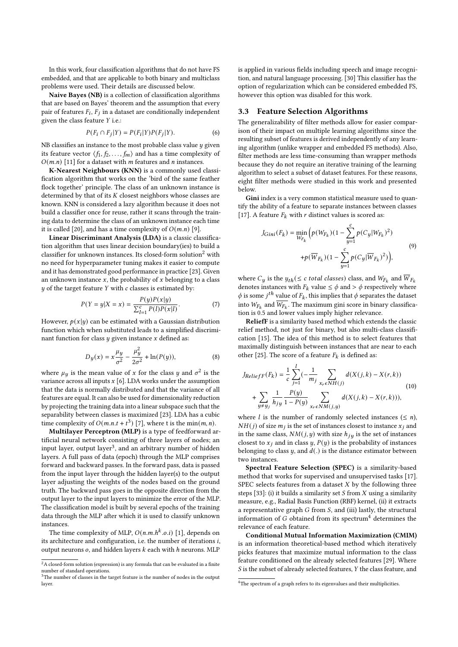In this work, four classification algorithms that do not have FS embedded, and that are applicable to both binary and multiclass problems were used. Their details are discussed below.

Naive Bayes (NB) is a collection of classification algorithms that are based on Bayes' theorem and the assumption that every pair of features  $F_i$ ,  $\overline{F}_j$  in a dataset are conditionally independent given the class feature  $Y$  i.e.:

$$
P(F_i \cap F_j | Y) = P(F_i | Y)P(F_j | Y). \tag{6}
$$

NB classifies an instance to the most probable class value  $\boldsymbol{y}$  given its feature vector  $\langle f_1, f_2, \ldots, f_m \rangle$  and has a time complexity of  $O(m.n)$  [\[11\]](#page-9-11) for a dataset with *m* features and *n* instances.

K-Nearest Neighbours (KNN) is a commonly used classification algorithm that works on the 'bird of the same feather flock together' principle. The class of an unknown instance is determined by that of its  $K$  closest neighbors whose classes are known. KNN is considered a lazy algorithm because it does not build a classifier once for reuse, rather it scans through the training data to determine the class of an unknown instance each time it is called [\[20\]](#page-9-12), and has a time complexity of  $O(m.n)$  [\[9\]](#page-9-13).

Linear Discriminant Analysis (LDA) is a classic classification algorithm that uses linear decision boundary(ies) to build a classifier for unknown instances. Its closed-form solution<sup>[2](#page-2-0)</sup> with no need for hyperparameter tuning makes it easier to compute and it has demonstrated good performance in practice [\[23\]](#page-9-14). Given an unknown instance  $x$ , the probability of  $x$  belonging to a class  $y$  of the target feature  $Y$  with  $c$  classes is estimated by:

$$
P(Y = y|X = x) = \frac{P(y)P(x|y)}{\sum_{l=1}^{c} P(l)P(x|l)}.
$$
 (7)

However,  $p(x|y)$  can be estimated with a Gaussian distribution function which when substituted leads to a simplified discriminant function for class  $y$  given instance  $x$  defined as:

$$
D_y(x) = x \frac{\mu_y}{\sigma^2} - \frac{\mu_y^2}{2\sigma^2} + \ln(P(y)),
$$
 (8)

where  $\mu_y$  is the mean value of x for the class y and  $\sigma^2$  is the variance across all inputs  $x$  [\[6\]](#page-9-15). LDA works under the assumption that the data is normally distributed and that the variance of all features are equal. It can also be used for dimensionality reduction by projecting the training data into a linear subspace such that the separability between classes is maximized [\[23\]](#page-9-14). LDA has a cubic time complexity of  $O(m.n.t + t^3)$  [\[7\]](#page-9-16), where t is the min $(m, n)$ .

Multilayer Perceptron (MLP) is a type of feedforward artificial neural network consisting of three layers of nodes; an input layer, output layer<sup>[3](#page-2-1)</sup>, and an arbitrary number of hidden layers. A full pass of data (epoch) through the MLP comprises forward and backward passes. In the forward pass, data is passed from the input layer through the hidden layer(s) to the output layer adjusting the weights of the nodes based on the ground truth. The backward pass goes in the opposite direction from the output layer to the input layers to minimize the error of the MLP. The classification model is built by several epochs of the training data through the MLP after which it is used to classify unknown instances.

The time complexity of MLP,  $O(n.m.h^k.o.i)$  [\[1\]](#page-9-17), depends on its architecture and configuration, i.e. the number of iterations  $i$ , output neurons  $o$ , and hidden layers  $k$  each with  $h$  neurons. MLP

is applied in various fields including speech and image recognition, and natural language processing. [\[30\]](#page-9-18) This classifier has the option of regularization which can be considered embedded FS, however this option was disabled for this work.

#### 3.3 Feature Selection Algorithms

The generalizability of filter methods allow for easier comparison of their impact on multiple learning algorithms since the resulting subset of features is derived independently of any learning algorithm (unlike wrapper and embedded FS methods). Also, filter methods are less time-consuming than wrapper methods because they do not require an iterative training of the learning algorithm to select a subset of dataset features. For these reasons, eight filter methods were studied in this work and presented below.

Gini index is a very common statistical measure used to quantify the ability of a feature to separate instances between classes [\[17\]](#page-9-0). A feature  $F_k$  with r distinct values is scored as:

$$
J_{Gini}(F_k) = \min_{W_{F_k}} \Big( p(W_{F_k})(1 - \sum_{y=1}^{c} p(C_y | W_{F_k})^2) + p(\overline{W}_{F_k})(1 - \sum_{y=1}^{c} p(C_y | \overline{W}_{F_k})^2) \Big), \tag{9}
$$

where  $C_y$  is the  $y_{th} (\leq c$  total classes) class, and  $W_{F_k}$  and  $\overline{W}_{F_k}$ denotes instances with  $F_k$  value  $\leq \phi$  and  $> \phi$  respectively where  $\phi$  is some  $j^{th}$  value of  $F_k$ , this implies that  $\phi$  separates the dataset into  $W_{F_k}$  and  $\overline{W_{F_k}}$ . The maximum gini score in binary classification is 0.5 and lower values imply higher relevance.

ReliefF is a similarity based method which extends the classic relief method, not just for binary, but also multi-class classification [\[15\]](#page-9-19). The idea of this method is to select features that maximally distinguish between instances that are near to each other [\[25\]](#page-9-20). The score of a feature  $F_k$  is defined as:

$$
J_{ReliefF}(F_k) = \frac{1}{c} \sum_{j=1}^{l} (-\frac{1}{m_j} \sum_{x_r \in NH(j)} d(X(j,k) - X(r,k)) + \sum_{y \neq y_j} \frac{1}{h_j y} \frac{P(y)}{1 - P(y)} \sum_{x_r \in NM(j,y)} d(X(j,k) - X(r,k))),
$$
\n(10)

where *l* is the number of randomly selected instances ( $\leq n$ ),  $NH(j)$  of size  $m_j$  is the set of instances closest to instance  $x_j$  and in the same class,  $NM(j, y)$  with size  $h_{jy}$  is the set of instances closest to  $x_j$  and in class  $y$ ,  $P(y)$  is the probability of instances belonging to class  $y$ , and  $d(.)$  is the distance estimator between two instances.

Spectral Feature Selection (SPEC) is a similarity-based method that works for supervised and unsupervised tasks [\[17\]](#page-9-0). SPEC selects features from a dataset  $X$  by the following three steps [\[33\]](#page-9-21): (i) it builds a similarity set  $S$  from  $X$  using a similarity measure, e.g., Radial Basis Function (RBF) kernel, (ii) it extracts a representative graph  $G$  from  $S$ , and (iii) lastly, the structural information of  $G$  obtained from its spectrum<sup>[4](#page-2-2)</sup> determines the relevance of each feature.

Conditional Mutual Information Maximization (CMIM) is an information theoretical-based method which iteratively picks features that maximize mutual information to the class feature conditioned on the already selected features [\[29\]](#page-9-22). Where S is the subset of already selected features, Y the class feature, and

<span id="page-2-0"></span> $^2\mathrm{A}$  closed-form solution (expression) is any formula that can be evaluated in a finite number of standard operations.

<span id="page-2-1"></span><sup>&</sup>lt;sup>3</sup>The number of classes in the target feature is the number of nodes in the output layer.

<span id="page-2-2"></span> $\overline{\text{^{4}The spectrum of a graph refers to its eigenvalues and their multiplicities.}}$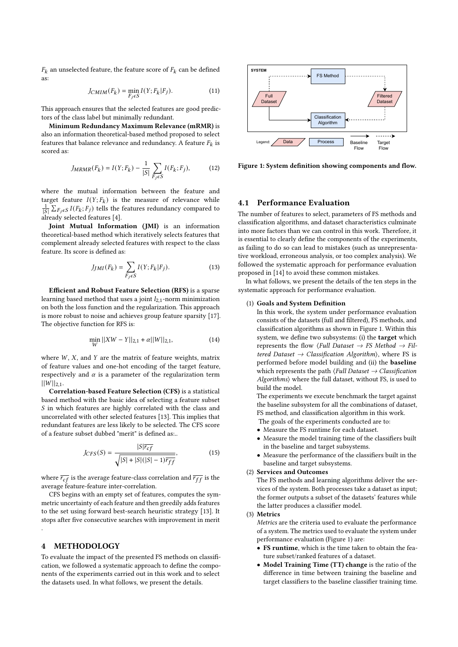$F_k$  an unselected feature, the feature score of  $F_k$  can be defined as:

$$
J_{CMIM}(F_k) = \min_{F_j \in S} I(Y; F_k | F_j). \tag{11}
$$

This approach ensures that the selected features are good predictors of the class label but minimally redundant.

Minimum Redundancy Maximum Relevance (mRMR) is also an information theoretical-based method proposed to select features that balance relevance and redundancy. A feature  $F_k$  is scored as:

$$
J_{MRMR}(F_k) = I(Y; F_k) - \frac{1}{|S|} \sum_{F_j \in S} I(F_k; F_j), \tag{12}
$$

where the mutual information between the feature and target feature  $I(Y; F_k)$  is the measure of relevance while  $\frac{1}{|S|} \sum_{F_j \in S} I(F_k; F_j)$  tells the features redundancy compared to already selected features [\[4\]](#page-9-8).

Joint Mutual Information (JMI) is an information theoretical-based method which iteratively selects features that complement already selected features with respect to the class feature. Its score is defined as:

$$
J_{JMI}(F_k) = \sum_{F_j \in S} I(Y; F_k | F_j). \tag{13}
$$

Efficient and Robust Feature Selection (RFS) is a sparse learning based method that uses a joint  $l_{2,1}$ -norm minimization on both the loss function and the regularization. This approach is more robust to noise and achieves group feature sparsity [\[17\]](#page-9-0). The objective function for RFS is:

$$
\min_{W} ||XW - Y||_{2,1} + \alpha ||W||_{2,1},\tag{14}
$$

where  $W$ ,  $X$ , and  $Y$  are the matrix of feature weights, matrix of feature values and one-hot encoding of the target feature, respectively and  $\alpha$  is a parameter of the regularization term  $||W||_{2,1}.$ 

Correlation-based Feature Selection (CFS) is a statistical based method with the basic idea of selecting a feature subset  $S$  in which features are highly correlated with the class and uncorrelated with other selected features [\[13\]](#page-9-23). This implies that redundant features are less likely to be selected. The CFS score of a feature subset dubbed "merit" is defined as:..

$$
J_{CFS}(S) = \frac{|S|\overline{r_{cf}}}{\sqrt{|S| + |S|(|S| - 1)\overline{r_{ff}}}},\tag{15}
$$

where  $\overline{r_{cf}}$  is the average feature-class correlation and  $\overline{r_{ff}}$  is the average feature-feature inter-correlation.

CFS begins with an empty set of features, computes the symmetric uncertainty of each feature and then greedily adds features to the set using forward best-search heuristic strategy [\[13\]](#page-9-23). It stops after five consecutive searches with improvement in merit

# 4 METHODOLOGY

.

To evaluate the impact of the presented FS methods on classification, we followed a systematic approach to define the components of the experiments carried out in this work and to select the datasets used. In what follows, we present the details.

<span id="page-3-0"></span>

Figure 1: System definition showing components and flow.

# 4.1 Performance Evaluation

The number of features to select, parameters of FS methods and classification algorithms, and dataset characteristics culminate into more factors than we can control in this work. Therefore, it is essential to clearly define the components of the experiments, as failing to do so can lead to mistakes (such as unrepresentative workload, erroneous analysis, or too complex analysis). We followed the systematic approach for performance evaluation proposed in [\[14\]](#page-9-24) to avoid these common mistakes.

In what follows, we present the details of the ten steps in the systematic approach for performance evaluation.

#### (1) Goals and System Definition

In this work, the system under performance evaluation consists of the datasets (full and filtered), FS methods, and classification algorithms as shown in Figure [1.](#page-3-0) Within this system, we define two subsystems: (i) the target which represents the flow  $\langle Full\;Database\; \rightarrow FS\;Method \;\rightarrow Fil$ tered Dataset  $\rightarrow$  Classification Algorithm), where FS is performed before model building and (ii) the baseline which represents the path  $\langle Full\,Dataset \rightarrow Classification$ Algorithms⟩ where the full dataset, without FS, is used to build the model.

The experiments we execute benchmark the target against the baseline subsystem for all the combinations of dataset, FS method, and classification algorithm in this work.

- The goals of the experiments conducted are to:
- Measure the FS runtime for each dataset.
- Measure the model training time of the classifiers built in the baseline and target subsystems.
- Measure the performance of the classifiers built in the baseline and target subsystems.

#### (2) Services and Outcomes

The FS methods and learning algorithms deliver the services of the system. Both processes take a dataset as input; the former outputs a subset of the datasets' features while the latter produces a classifier model.

### (3) Metrics

Metrics are the criteria used to evaluate the performance of a system. The metrics used to evaluate the system under performance evaluation (Figure [1\)](#page-3-0) are:

- FS runtime, which is the time taken to obtain the feature subset/ranked features of a dataset.
- Model Training Time (TT) change is the ratio of the difference in time between training the baseline and target classifiers to the baseline classifier training time.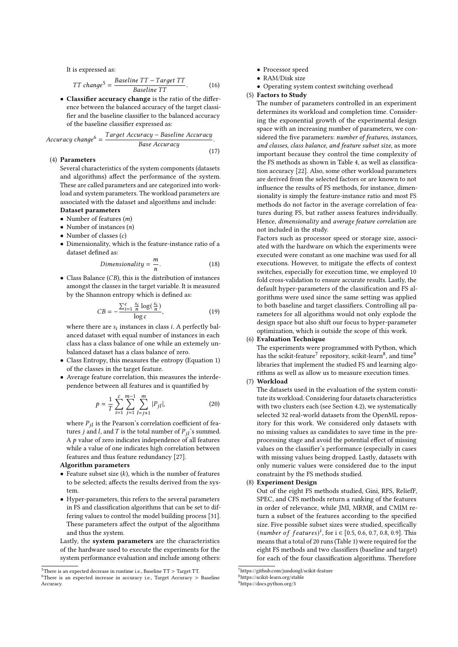It is expressed as:

<span id="page-4-0"></span>
$$
TT \ change^5 = \frac{Baseline \ TT - Target \ TT}{Baseline \ TT}.
$$
 (16)

• Classifier accuracy change is the ratio of the difference between the balanced accuracy of the target classifier and the baseline classifier to the balanced accuracy of the baseline classifier expressed as:

<span id="page-4-1"></span>
$$
Accuracy change6 = \frac{Target Accuracy - Baseline Accuracy}{Base Accuracy}.
$$
\n(17)

### (4) Parameters

Several characteristics of the system components (datasets and algorithms) affect the performance of the system. These are called parameters and are categorized into workload and system parameters. The workload parameters are associated with the dataset and algorithms and include:

# Dataset parameters

- Number of features  $(m)$ • Number of instances  $(n)$
- 
- Number of classes  $(c)$
- Dimensionality, which is the feature-instance ratio of a dataset defined as:

$$
Dimensionality = \frac{m}{n}.
$$
 (18)

• Class Balance  $(CB)$ , this is the distribution of instances amongst the classes in the target variable. It is measured by the Shannon entropy which is defined as:

$$
CB = -\frac{\sum_{i=1}^{c} \frac{s_i}{n} \log(\frac{s_i}{n})}{\log c},\tag{19}
$$

where there are  $s_i$  instances in class *i*. A perfectly balanced dataset with equal number of instances in each class has a class balance of one while an extemely unbalanced dataset has a class balance of zero.

- Class Entropy, this measures the entropy (Equation [1\)](#page-1-0) of the classes in the target feature.
- Average feature correlation, this measures the interdependence between all features and is quantified by

$$
p = \frac{1}{T} \sum_{i=1}^{c} \sum_{j=1}^{m-1} \sum_{l=j+1}^{m} |P_{jl}|,
$$
 (20)

where  $P_{jl}$  is the Pearson's correlation coefficient of features *j* and *l*, and *T* is the total number of  $P_{jl}$ 's summed. A  $p$  value of zero indicates independence of all features while a value of one indicates high correlation between features and thus feature redundancy [\[27\]](#page-9-25).

#### Algorithm parameters

- Feature subset size  $(k)$ , which is the number of features to be selected; affects the results derived from the system.
- Hyper-parameters, this refers to the several parameters in FS and classification algorithms that can be set to differing values to control the model building process [\[31\]](#page-9-26). These parameters affect the output of the algorithms and thus the system.

Lastly, the system parameters are the characteristics of the hardware used to execute the experiments for the system performance evaluation and include among others:

- Processor speed
- RAM/Disk size
- Operating system context switching overhead

(5) Factors to Study

The number of parameters controlled in an experiment determines its workload and completion time. Considering the exponential growth of the experimental design space with an increasing number of parameters, we considered the five parameters: number of features, instances, and classes, class balance, and feature subset size, as more important because they control the time complexity of the FS methods as shown in Table [4,](#page-6-0) as well as classification accuracy [\[22\]](#page-9-7). Also, some other workload parameters are derived from the selected factors or are known to not influence the results of FS methods, for instance, dimensionality is simply the feature-instance ratio and most FS methods do not factor in the average correlation of features during FS, but rather assess features individually. Hence, dimensionality and average feature correlation are not included in the study.

Factors such as processor speed or storage size, associated with the hardware on which the experiments were executed were constant as one machine was used for all executions. However, to mitigate the effects of context switches, especially for execution time, we employed 10 fold cross-validation to ensure accurate results. Lastly, the default hyper-parameters of the classification and FS algorithms were used since the same setting was applied to both baseline and target classifiers. Controlling all parameters for all algorithms would not only explode the design space but also shift our focus to hyper-parameter optimization, which is outside the scope of this work.

# (6) Evaluation Technique

The experiments were programmed with Python, which has the scikit-feature<sup>[7](#page-4-4)</sup> repository, scikit-learn<sup>[8](#page-4-5)</sup>, and time<sup>[9](#page-4-6)</sup> libraries that implement the studied FS and learning algorithms as well as allow us to measure execution times.

### (7) Workload

The datasets used in the evaluation of the system constitute its workload. Considering four datasets characteristics with two clusters each (see Section [4.2\)](#page-5-0), we systematically selected 32 real-world datasets from the OpenML repository for this work. We considered only datasets with no missing values as candidates to save time in the preprocessing stage and avoid the potential effect of missing values on the classifier's performance (especially in cases with missing values being dropped. Lastly, datasets with only numeric values were considered due to the input constraint by the FS methods studied.

#### (8) Experiment Design

Out of the eight FS methods studied, Gini, RFS, ReliefF, SPEC, and CFS methods return a ranking of the features in order of relevance, while JMI, MRMR, and CMIM return a subset of the features according to the specified size. Five possible subset sizes were studied, specifically (*number of features*)<sup>*i*</sup>, for  $i \in [0.5, 0.6, 0.7, 0.8, 0.9]$ . This means that a total of 20 runs (Table [1\)](#page-5-1) were required for the eight FS methods and two classifiers (baseline and target) for each of the four classification algorithms. Therefore

<span id="page-4-2"></span> $^{5}$  There is an expected decrease in runtime i.e., Baseline TT  $>$  Target TT.

<span id="page-4-3"></span><sup>&</sup>lt;sup>6</sup>There is an expected increase in accuracy i.e., Target Accuracy > Baseline Accuracy.

<span id="page-4-4"></span><sup>7</sup>https://github.com/jundongl/scikit-feature

<span id="page-4-5"></span><sup>8</sup>https://scikit-learn.org/stable

<span id="page-4-6"></span><sup>9</sup>https://docs.python.org/3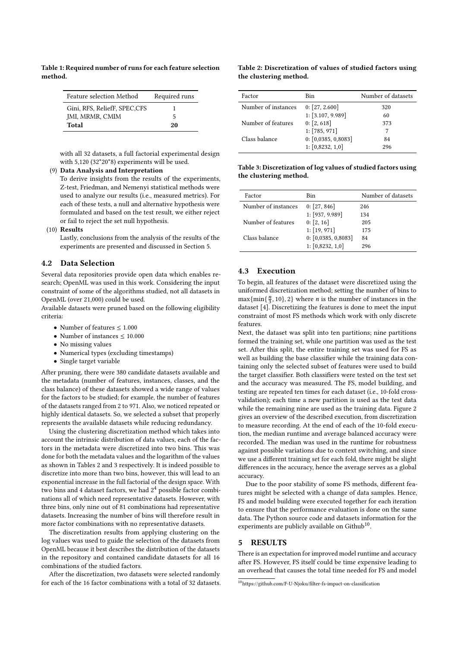<span id="page-5-1"></span>Table 1: Required number of runs for each feature selection method.

| Feature selection Method     | Required runs |
|------------------------------|---------------|
| Gini, RFS, ReliefF, SPEC,CFS |               |
| JMI, MRMR, CMIM              | 5             |
| Total                        | 20            |

with all 32 datasets, a full factorial experimental design with 5,120 (32\*20\*8) experiments will be used.

# (9) Data Analysis and Interpretation

To derive insights from the results of the experiments, Z-test, Friedman, and Nemenyi statistical methods were used to analyze our results (i.e., measured metrics). For each of these tests, a null and alternative hypothesis were formulated and based on the test result, we either reject or fail to reject the set null hypothesis.

#### (10) Results

Lastly, conclusions from the analysis of the results of the experiments are presented and discussed in Section [5.](#page-5-2)

### <span id="page-5-0"></span>4.2 Data Selection

Several data repositories provide open data which enables research; OpenML was used in this work. Considering the input constraint of some of the algorithms studied, not all datasets in OpenML (over 21,000) could be used.

Available datasets were pruned based on the following eligibility criteria:

- Number of features  $\leq 1.000$
- Number of instances  $\leq 10.000$
- No missing values
- Numerical types (excluding timestamps)
- Single target variable

After pruning, there were 380 candidate datasets available and the metadata (number of features, instances, classes, and the class balance) of these datasets showed a wide range of values for the factors to be studied; for example, the number of features of the datasets ranged from 2 to 971. Also, we noticed repeated or highly identical datasets. So, we selected a subset that properly represents the available datasets while reducing redundancy.

Using the clustering discretization method which takes into account the intrinsic distribution of data values, each of the factors in the metadata were discretized into two bins. This was done for both the metadata values and the logarithm of the values as shown in Tables [2](#page-5-3) and [3](#page-5-4) respectively. It is indeed possible to discretize into more than two bins, however, this will lead to an exponential increase in the full factorial of the design space. With two bins and 4 dataset factors, we had 2 <sup>4</sup> possible factor combinations all of which need representative datasets. However, with three bins, only nine out of 81 combinations had representative datasets. Increasing the number of bins will therefore result in more factor combinations with no representative datasets.

The discretization results from applying clustering on the log values was used to guide the selection of the datasets from OpenML because it best describes the distribution of the datasets in the repository and contained candidate datasets for all 16 combinations of the studied factors.

After the discretization, two datasets were selected randomly for each of the 16 factor combinations with a total of 32 datasets.

#### <span id="page-5-3"></span>Table 2: Discretization of values of studied factors using the clustering method.

| Factor              | Bin                 | Number of datasets |
|---------------------|---------------------|--------------------|
| Number of instances | 0: [27, 2.600]      | 320                |
|                     | 1: [3.107, 9.989]   | 60                 |
| Number of features  | 0: [2, 618]         | 373                |
|                     | 1: [785, 971]       |                    |
| Class balance       | 0: [0,0385, 0,8083] | 84                 |
|                     | 1: [0,8232, 1,0]    | 296                |

<span id="page-5-4"></span>Table 3: Discretization of log values of studied factors using the clustering method.

| Factor              | Bin                 | Number of datasets |
|---------------------|---------------------|--------------------|
| Number of instances | 0: [27, 846]        | 246                |
|                     | 1: [937, 9.989]     | 134                |
| Number of features  | 0: [2, 16]          | 205                |
|                     | 1: [19, 971]        | 175                |
| Class balance       | 0: [0,0385, 0,8083] | 84                 |
|                     | 1: [0,8232, 1,0]    | 296                |

# 4.3 Execution

To begin, all features of the dataset were discretized using the uniformed discretization method; setting the number of bins to  $\frac{m}{3}$ max{min{ $\frac{n}{3}$  $\frac{n}{3}$ , 10}, 2} where *n* is the number of instances in the dataset [\[4\]](#page-9-8). Discretizing the features is done to meet the input constraint of most FS methods which work with only discrete features.

Next, the dataset was split into ten partitions; nine partitions formed the training set, while one partition was used as the test set. After this split, the entire training set was used for FS as well as building the base classifier while the training data containing only the selected subset of features were used to build the target classifier. Both classifiers were tested on the test set and the accuracy was measured. The FS, model building, and testing are repeated ten times for each dataset (i.e., 10-fold crossvalidation); each time a new partition is used as the test data while the remaining nine are used as the training data. Figure [2](#page-6-1) gives an overview of the described execution, from discretization to measure recording. At the end of each of the 10-fold execution, the median runtime and average balanced accuracy were recorded. The median was used in the runtime for robustness against possible variations due to context switching, and since we use a different training set for each fold, there might be slight differences in the accuracy, hence the average serves as a global accuracy.

Due to the poor stability of some FS methods, different features might be selected with a change of data samples. Hence, FS and model building were executed together for each iteration to ensure that the performance evaluation is done on the same data. The Python source code and datasets information for the experiments are publicly available on Github<sup>[10](#page-5-5)</sup>.

# <span id="page-5-2"></span>5 RESULTS

There is an expectation for improved model runtime and accuracy after FS. However, FS itself could be time expensive leading to an overhead that causes the total time needed for FS and model

<span id="page-5-5"></span> $\frac{10}{10}$ https://github.com/F-U-Njoku/filter-fs-impact-on-classification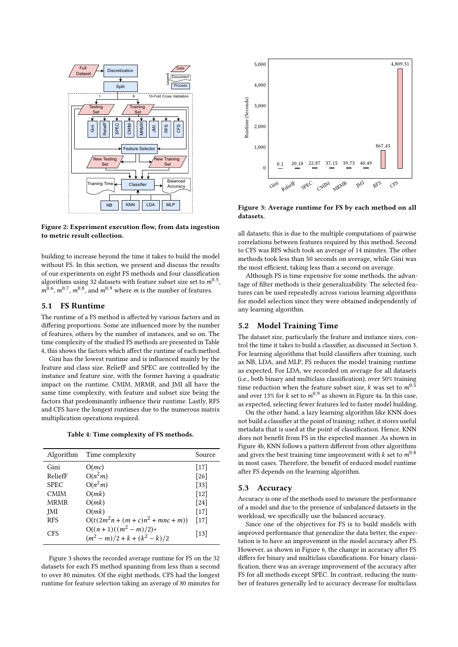<span id="page-6-1"></span>

Figure 2: Experiment execution flow, from data ingestion to metric result collection.

building to increase beyond the time it takes to build the model without FS. In this section, we present and discuss the results of our experiments on eight FS methods and four classification algorithms using 32 datasets with feature subset size set to  $m^{0.5}$ ,  $m^{0.6}$ ,  $m^{0.7}$ ,  $m^{0.8}$ , and  $m^{0.9}$  where *m* is the number of features.

# <span id="page-6-3"></span>5.1 FS Runtime

The runtime of a FS method is affected by various factors and in differing proportions. Some are influenced more by the number of features, others by the number of instances, and so on. The time complexity of the studied FS methods are presented in Table [4,](#page-6-0) this shows the factors which affect the runtime of each method.

Gini has the lowest runtime and is influenced mainly by the feature and class size. ReliefF and SPEC are controlled by the instance and feature size, with the former having a quadratic impact on the runtime. CMIM, MRMR, and JMI all have the same time complexity, with feature and subset size being the factors that predominantly influence their runtime. Lastly, RFS and CFS have the longest runtimes due to the numerous matrix multiplication operations required.

Table 4: Time complexity of FS methods.

<span id="page-6-0"></span>

| Algorithm   | Time complexity                                   | Source             |
|-------------|---------------------------------------------------|--------------------|
| Gini        | O(mc)                                             | $[17]$             |
| ReliefF     | $O(n^2m)$                                         | $\lceil 26 \rceil$ |
| <b>SPEC</b> | $O(n^2m)$                                         | $[33]$             |
| <b>CMIM</b> | O(mk)                                             | $[12]$             |
| <b>MRMR</b> | O(mk)                                             | $\lceil 24 \rceil$ |
| JMI         | O(mk)                                             | $[17]$             |
| <b>RFS</b>  | $O(t(2m^2n + (m+c)n^2 + mnc + m))$                | $[17]$             |
| <b>CFS</b>  | $O((n+1)((m^2-m)/2)$ +<br>$(m^2-m)/2+k+(k^2-k)/2$ | $[13]$             |

Figure [3](#page-6-2) shows the recorded average runtime for FS on the 32 datasets for each FS method spanning from less than a second to over 80 minutes. Of the eight methods, CFS had the longest runtime for feature selection taking an average of 80 minutes for

<span id="page-6-2"></span>

Figure 3: Average runtime for FS by each method on all datasets.

all datasets; this is due to the multiple computations of pairwise correlations between features required by this method. Second to CFS was RFS which took an average of 14 minutes. The other methods took less than 50 seconds on average, while Gini was the most efficient, taking less than a second on average.

Although FS is time expensive for some methods, the advantage of filter methods is their generalizability. The selected features can be used repeatedly across various learning algorithms for model selection since they were obtained independently of any learning algorithm.

# 5.2 Model Training Time

The dataset size, particularly the feature and instance sizes, control the time it takes to build a classifier, as discussed in Section [3.](#page-1-1) For learning algorithms that build classifiers after training, such as NB, LDA, and MLP, FS reduces the model training runtime as expected. For LDA, we recorded on average for all datasets (i.e., both binary and multiclass classification), over 50% training time reduction when the feature subset size,  $k$  was set to  $m^{0.5}$ and over 13% for  $k$  set to  $m^{0.9}$  as shown in Figure [4a.](#page-7-0) In this case, as expected, selecting fewer features led to faster model building.

On the other hand, a lazy learning algorithm like KNN does not build a classifier at the point of training; rather, it stores useful metadata that is used at the point of classification. Hence, KNN does not benefit from FS in the expected manner. As shown in Figure [4b,](#page-7-0) KNN follows a pattern different from other algorithms and gives the best training time improvement with  $k$  set to  $m^{0.8}$ in most cases. Therefore, the benefit of reduced model runtime after FS depends on the learning algorithm.

#### 5.3 Accuracy

Accuracy is one of the methods used to measure the performance of a model and due to the presence of unbalanced datasets in the workload, we specifically use the balanced accuracy.

Since one of the objectives for FS is to build models with improved performance that generalize the data better, the expectation is to have an improvement in the model accuracy after FS. However, as shown in Figure [6,](#page-8-0) the change in accuracy after FS differs for binary and multiclass classifications. For binary classification, there was an average improvement of the accuracy after FS for all methods except SPEC. In contrast, reducing the number of features generally led to accuracy decrease for multiclass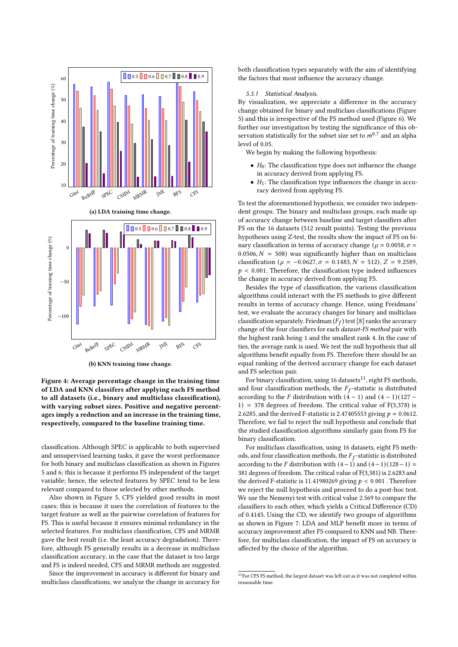<span id="page-7-0"></span>

(b) KNN training time change.

Figure 4: Average percentage change in the training time of LDA and KNN classifers after applying each FS method to all datasets (i.e., binary and multiclass classification), with varying subset sizes. Positive and negative percentages imply a reduction and an increase in the training time, respectively, compared to the baseline training time.

classification. Although SPEC is applicable to both supervised and unsupervised learning tasks, it gave the worst performance for both binary and multiclass classification as shown in Figures [5](#page-8-1) and [6;](#page-8-0) this is because it performs FS independent of the target variable; hence, the selected features by SPEC tend to be less relevant compared to those selected by other methods.

Also shown in Figure [5,](#page-8-1) CFS yielded good results in most cases; this is because it uses the correlation of features to the target feature as well as the pairwise correlation of features for FS. This is useful because it ensures minimal redundancy in the selected features. For multiclass classification, CFS and MRMR gave the best result (i.e. the least accuracy degradation). Therefore, although FS generally results in a decrease in multiclass classification accuracy, in the case that the dataset is too large and FS is indeed needed, CFS and MRMR methods are suggested.

Since the improvement in accuracy is different for binary and multiclass classifications, we analyze the change in accuracy for

both classification types separately with the aim of identifying the factors that most influence the accuracy change.

#### 5.3.1 Statistical Analysis.

By visualization, we appreciate a difference in the accuracy change obtained for binary and multiclass classifications (Figure [5\)](#page-8-1) and this is irrespective of the FS method used (Figure [6\)](#page-8-0). We further our investigation by testing the significance of this observation statistically for the subset size set to  $m^{0.7}$  and an alpha level of 0.05.

We begin by making the following hypothesis:

- $H_0$ : The classification type does not influence the change in accuracy derived from applying FS.
- $H_1$ : The classification type influences the change in accuracy derived from applying FS.

To test the aforementioned hypothesis, we consider two independent groups. The binary and multiclass groups, each made up of accuracy change between baseline and target classifiers after FS on the 16 datasets (512 result points). Testing the previous hypotheses using Z-test, the results show the impact of FS on binary classification in terms of accuracy change ( $\mu = 0.0058$ ,  $\sigma =$ 0.0506,  $N = 508$ ) was significantly higher than on multiclass classification ( $\mu = -0.0627$ ,  $\sigma = 0.1483$ ,  $N = 512$ ),  $Z = 9.2589$ ,  $p < 0.001$ . Therefore, the classification type indeed influences the change in accuracy derived from applying FS.

Besides the type of classification, the various classification algorithms could interact with the FS methods to give different results in terms of accuracy change. Hence, using Freidmans' test, we evaluate the accuracy changes for binary and multiclass classification separately. Friedman  $(F_f)$  test [\[8\]](#page-9-30) ranks the accuracy change of the four classifiers for each dataset-FS method pair with the highest rank being 1 and the smallest rank 4. In the case of ties, the average rank is used. We test the null hypothesis that all algorithms benefit equally from FS. Therefore there should be an equal ranking of the derived accuracy change for each dataset and FS selection pair.

For binary classification, using 16 datasets<sup>[11](#page-7-1)</sup>, eight FS methods, and four classification methods, the  $F_f$ -statistic is distributed according to the F distribution with  $(4 – 1)$  and  $(4 – 1)(127 – 1)$  $1)$  = 378 degrees of freedom. The critical value of F(3,378) is 2.6285, and the derived F-statistic is 2.47405553 giving  $p = 0.0612$ . Therefore, we fail to reject the null hypothesis and conclude that the studied classification algorithms similarly gain from FS for binary classification.

For multiclass classification, using 16 datasets, eight FS methods, and four classification methods, the  $F_f$ -statistic is distributed according to the F distribution with  $(4-1)$  and  $(4-1)(128-1)$  = 381 degrees of freedom. The critical value of F(3,381) is 2.6283 and the derived F-statistic is 11.41980269 giving  $p < 0.001$ . Therefore we reject the null hypothesis and proceed to do a post-hoc test. We use the Nemenyi test with critical value 2.569 to compare the classifiers to each other, which yields a Critical Difference (CD) of 0.4145. Using the CD, we identify two groups of algorithms as shown in Figure [7:](#page-8-2) LDA and MLP benefit more in terms of accuracy improvement after FS compared to KNN and NB. Therefore, for multiclass classification, the impact of FS on accuracy is affected by the choice of the algorithm.

<span id="page-7-1"></span><sup>&</sup>lt;sup>11</sup>For CFS FS method, the largest dataset was left out as it was not completed within reasonable time.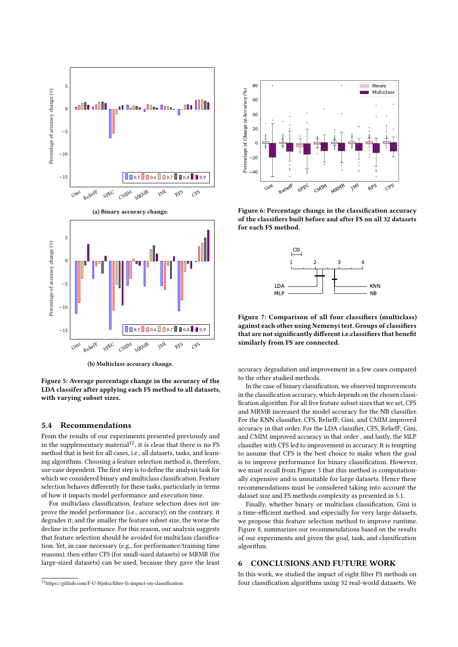<span id="page-8-1"></span>

(b) Multiclass accuracy change.

Figure 5: Average percentage change in the accuracy of the LDA classifer after applying each FS method to all datasets, with varying subset sizes.

# 5.4 Recommendations

From the results of our experiments presented previously and in the supplementary material<sup>[12](#page-8-3)</sup>, it is clear that there is no FS method that is best for all cases, i.e., all datasets, tasks, and learning algorithms. Choosing a feature selection method is, therefore, use-case dependent. The first step is to define the analysis task for which we considered binary and multiclass classification. Feature selection behaves differently for these tasks, particularly in terms of how it impacts model performance and execution time.

For multiclass classification, feature selection does not improve the model performance (i.e., accuracy); on the contrary, it degrades it; and the smaller the feature subset size, the worse the decline in the performance. For this reason, our analysis suggests that feature selection should be avoided for multiclass classification. Yet, in case necessary (e.g., for performance/training time reasons), then either CFS (for small-sized datasets) or MRMR (for large-sized datasets) can be used, because they gave the least

<span id="page-8-0"></span>

<span id="page-8-2"></span>Figure 6: Percentage change in the classification accuracy of the classifiers built before and after FS on all 32 datasets for each FS method.



Figure 7: Comparison of all four classifiers (multiclass) against each other using Nemenyi test. Groups of classifiers that are not significantly different i.e.classifiers that benefit similarly from FS are connected.

accuracy degradation and improvement in a few cases compared to the other studied methods.

In the case of binary classification, we observed improvements in the classification accuracy, which depends on the chosen classification algorithm. For all five feature subset sizes that we set, CFS and MRMR increased the model accuracy for the NB classifier. For the KNN classifier, CFS, ReliefF, Gini, and CMIM improved accuracy in that order. For the LDA classifier, CFS, ReliefF, Gini, and CMIM improved accuracy in that order , and lastly, the MLP classifier with CFS led to improvement in accuracy. It is tempting to assume that CFS is the best choice to make when the goal is to improve performance for binary classification. However, we must recall from Figure [3](#page-6-2) that this method is computationally expensive and is unsuitable for large datasets. Hence these recommendations must be considered taking into account the dataset size and FS methods complexity as presented in [5.1.](#page-6-3)

Finally, whether binary or multiclass classification, Gini is a time-efficient method, and especially for very large datasets, we propose this feature selection method to improve runtime. Figure [8,](#page-9-31) summarizes our recommendations based on the results of our experiments and given the goal, task, and classification algorithm.

# 6 CONCLUSIONS AND FUTURE WORK

In this work, we studied the impact of eight filter FS methods on four classification algorithms using 32 real-world datasets. We

<span id="page-8-3"></span> $12$ https://github.com/F-U-Njoku/filter-fs-impact-on-classification